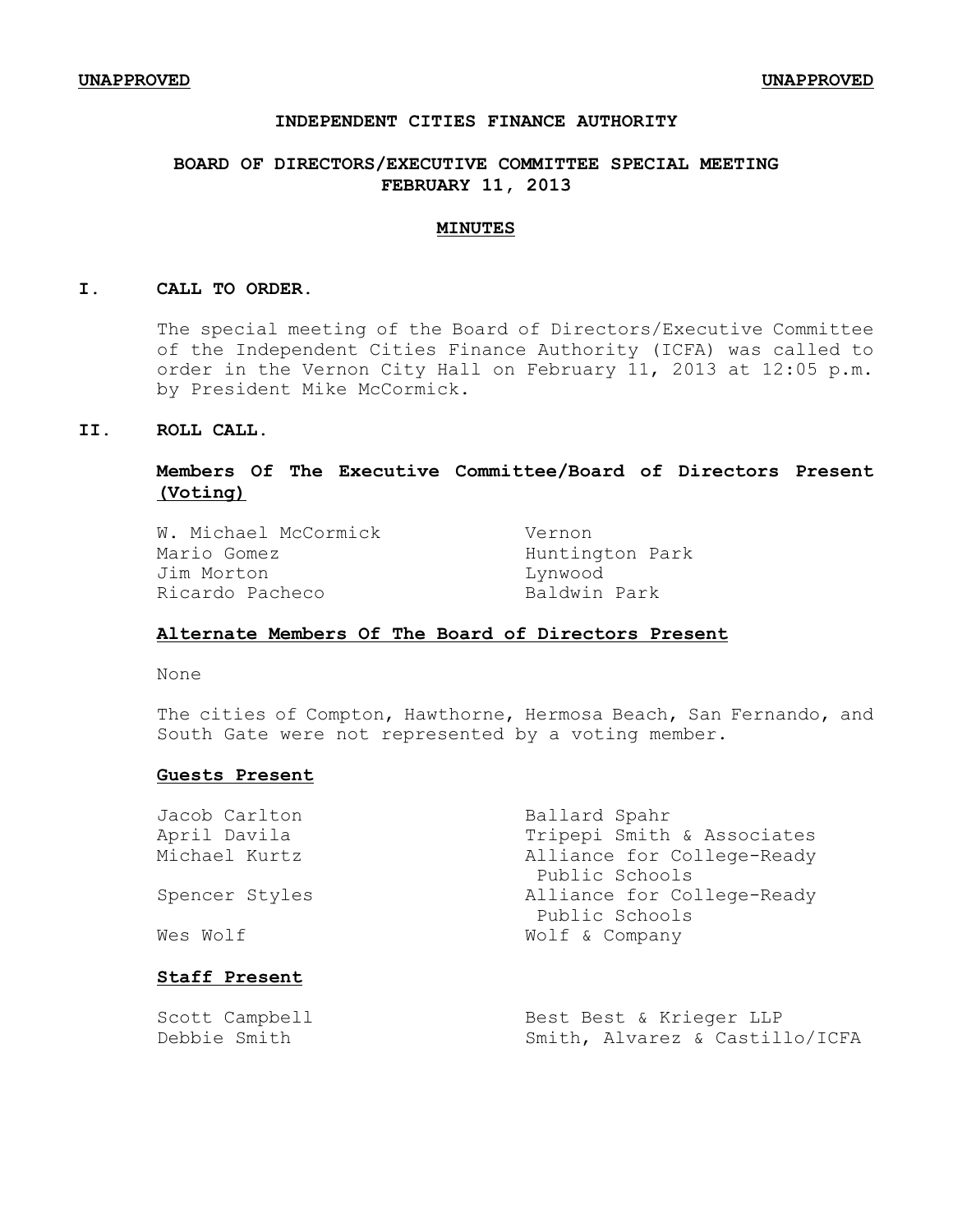## **INDEPENDENT CITIES FINANCE AUTHORITY**

# **BOARD OF DIRECTORS/EXECUTIVE COMMITTEE SPECIAL MEETING FEBRUARY 11, 2013**

#### **MINUTES**

#### **I. CALL TO ORDER.**

The special meeting of the Board of Directors/Executive Committee of the Independent Cities Finance Authority (ICFA) was called to order in the Vernon City Hall on February 11, 2013 at 12:05 p.m. by President Mike McCormick.

## **II. ROLL CALL.**

# **Members Of The Executive Committee/Board of Directors Present (Voting)**

W. Michael McCormick Vernon Mario Gomez **Huntington** Park Jim Morton Lynwood Ricardo Pacheco Baldwin Park

## **Alternate Members Of The Board of Directors Present**

None

The cities of Compton, Hawthorne, Hermosa Beach, San Fernando, and South Gate were not represented by a voting member.

#### **Guests Present**

| Jacob Carlton        | Ballard Spahr              |
|----------------------|----------------------------|
| April Davila         | Tripepi Smith & Associates |
| Michael Kurtz        | Alliance for College-Ready |
|                      | Public Schools             |
| Spencer Styles       | Alliance for College-Ready |
|                      | Public Schools             |
| Wes Wolf             | Wolf & Company             |
| <b>Staff Present</b> |                            |
|                      |                            |

| Scott Campbell | Best Best & Krieger LLP        |
|----------------|--------------------------------|
| Debbie Smith   | Smith, Alvarez & Castillo/ICFA |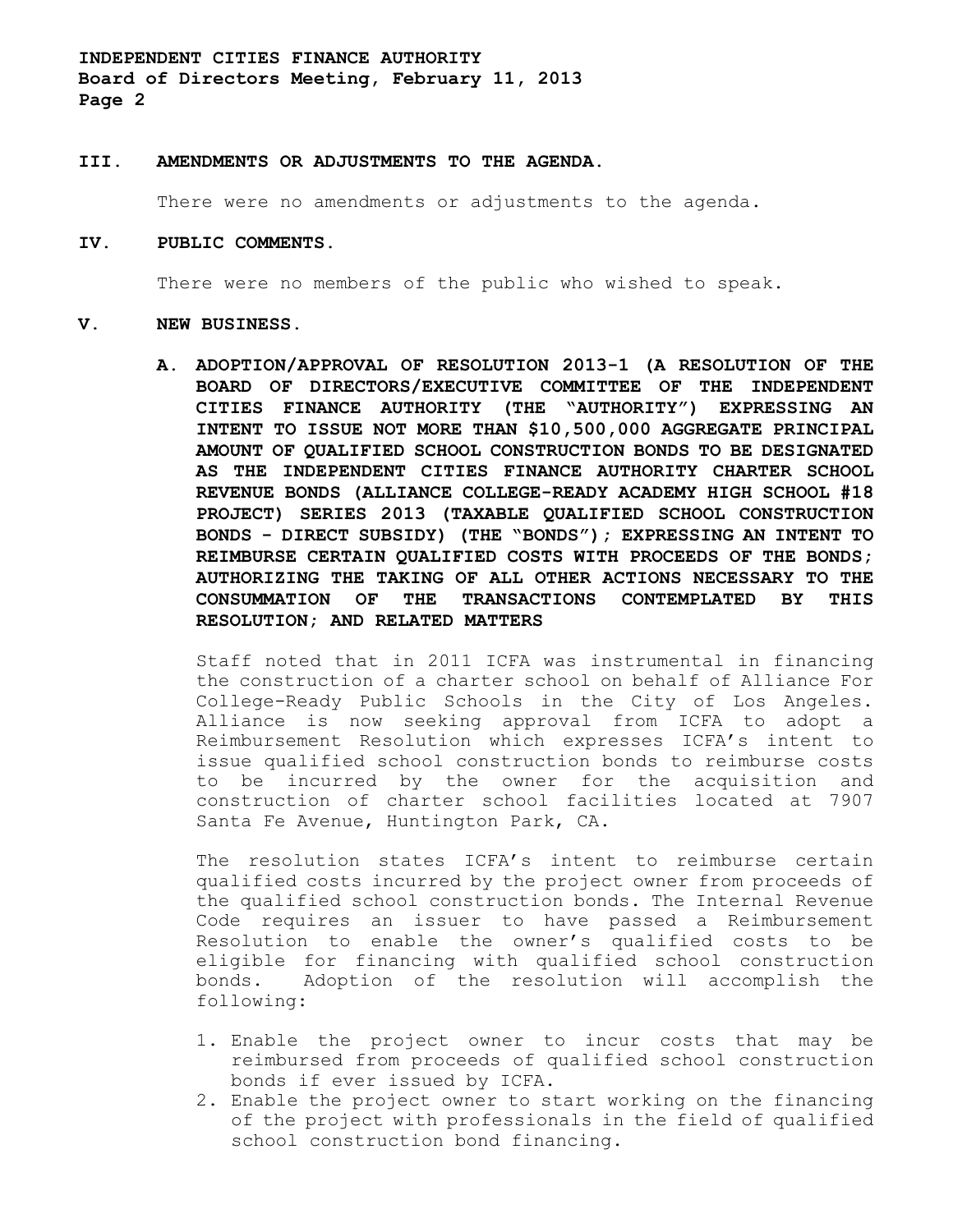**INDEPENDENT CITIES FINANCE AUTHORITY Board of Directors Meeting, February 11, 2013 Page 2**

#### **III. AMENDMENTS OR ADJUSTMENTS TO THE AGENDA**.

There were no amendments or adjustments to the agenda.

#### **IV. PUBLIC COMMENTS.**

There were no members of the public who wished to speak.

#### **V. NEW BUSINESS.**

**A. ADOPTION/APPROVAL OF RESOLUTION 2013-1 (A RESOLUTION OF THE BOARD OF DIRECTORS/EXECUTIVE COMMITTEE OF THE INDEPENDENT CITIES FINANCE AUTHORITY (THE "AUTHORITY") EXPRESSING AN INTENT TO ISSUE NOT MORE THAN \$10,500,000 AGGREGATE PRINCIPAL AMOUNT OF QUALIFIED SCHOOL CONSTRUCTION BONDS TO BE DESIGNATED AS THE INDEPENDENT CITIES FINANCE AUTHORITY CHARTER SCHOOL REVENUE BONDS (ALLIANCE COLLEGE-READY ACADEMY HIGH SCHOOL #18 PROJECT) SERIES 2013 (TAXABLE QUALIFIED SCHOOL CONSTRUCTION BONDS - DIRECT SUBSIDY) (THE "BONDS"); EXPRESSING AN INTENT TO REIMBURSE CERTAIN QUALIFIED COSTS WITH PROCEEDS OF THE BONDS; AUTHORIZING THE TAKING OF ALL OTHER ACTIONS NECESSARY TO THE CONSUMMATION OF THE TRANSACTIONS CONTEMPLATED BY THIS RESOLUTION; AND RELATED MATTERS**

Staff noted that in 2011 ICFA was instrumental in financing the construction of a charter school on behalf of Alliance For College-Ready Public Schools in the City of Los Angeles. Alliance is now seeking approval from ICFA to adopt a Reimbursement Resolution which expresses ICFA's intent to issue qualified school construction bonds to reimburse costs to be incurred by the owner for the acquisition and construction of charter school facilities located at 7907 Santa Fe Avenue, Huntington Park, CA.

The resolution states ICFA's intent to reimburse certain qualified costs incurred by the project owner from proceeds of the qualified school construction bonds. The Internal Revenue Code requires an issuer to have passed a Reimbursement Resolution to enable the owner's qualified costs to be eligible for financing with qualified school construction bonds. Adoption of the resolution will accomplish the following:

- 1. Enable the project owner to incur costs that may be reimbursed from proceeds of qualified school construction bonds if ever issued by ICFA.
- 2. Enable the project owner to start working on the financing of the project with professionals in the field of qualified school construction bond financing.